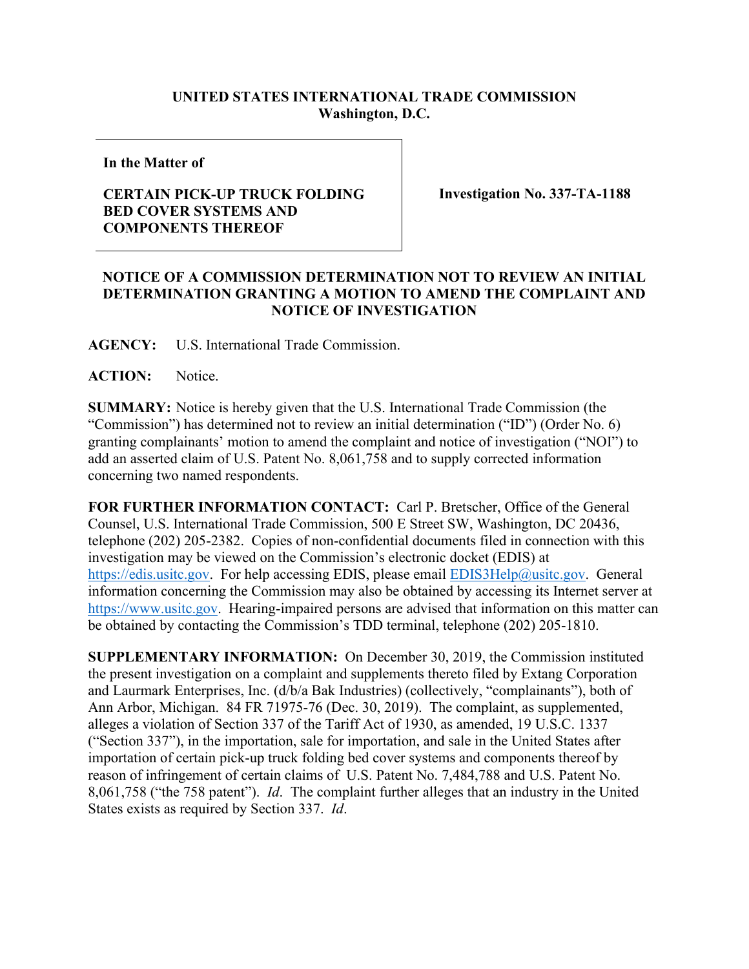## **UNITED STATES INTERNATIONAL TRADE COMMISSION Washington, D.C.**

**In the Matter of**

## **CERTAIN PICK-UP TRUCK FOLDING BED COVER SYSTEMS AND COMPONENTS THEREOF**

**Investigation No. 337-TA-1188**

## **NOTICE OF A COMMISSION DETERMINATION NOT TO REVIEW AN INITIAL DETERMINATION GRANTING A MOTION TO AMEND THE COMPLAINT AND NOTICE OF INVESTIGATION**

**AGENCY:** U.S. International Trade Commission.

**ACTION:** Notice.

**SUMMARY:** Notice is hereby given that the U.S. International Trade Commission (the "Commission") has determined not to review an initial determination ("ID") (Order No. 6) granting complainants' motion to amend the complaint and notice of investigation ("NOI") to add an asserted claim of U.S. Patent No. 8,061,758 and to supply corrected information concerning two named respondents.

**FOR FURTHER INFORMATION CONTACT:** Carl P. Bretscher, Office of the General Counsel, U.S. International Trade Commission, 500 E Street SW, Washington, DC 20436, telephone (202) 205-2382. Copies of non-confidential documents filed in connection with this investigation may be viewed on the Commission's electronic docket (EDIS) at [https://edis.usitc.gov.](https://edis.usitc.gov/) For help accessing EDIS, please email [EDIS3Help@usitc.gov.](mailto:EDIS3Help@usitc.gov) General information concerning the Commission may also be obtained by accessing its Internet server at [https://www.usitc.gov.](https://www.usitc.gov/) Hearing-impaired persons are advised that information on this matter can be obtained by contacting the Commission's TDD terminal, telephone (202) 205-1810.

**SUPPLEMENTARY INFORMATION:** On December 30, 2019, the Commission instituted the present investigation on a complaint and supplements thereto filed by Extang Corporation and Laurmark Enterprises, Inc. (d/b/a Bak Industries) (collectively, "complainants"), both of Ann Arbor, Michigan. 84 FR 71975-76 (Dec. 30, 2019). The complaint, as supplemented, alleges a violation of Section 337 of the Tariff Act of 1930, as amended, 19 U.S.C. 1337 ("Section 337"), in the importation, sale for importation, and sale in the United States after importation of certain pick-up truck folding bed cover systems and components thereof by reason of infringement of certain claims of U.S. Patent No. 7,484,788 and U.S. Patent No. 8,061,758 ("the 758 patent"). *Id*. The complaint further alleges that an industry in the United States exists as required by Section 337. *Id*.